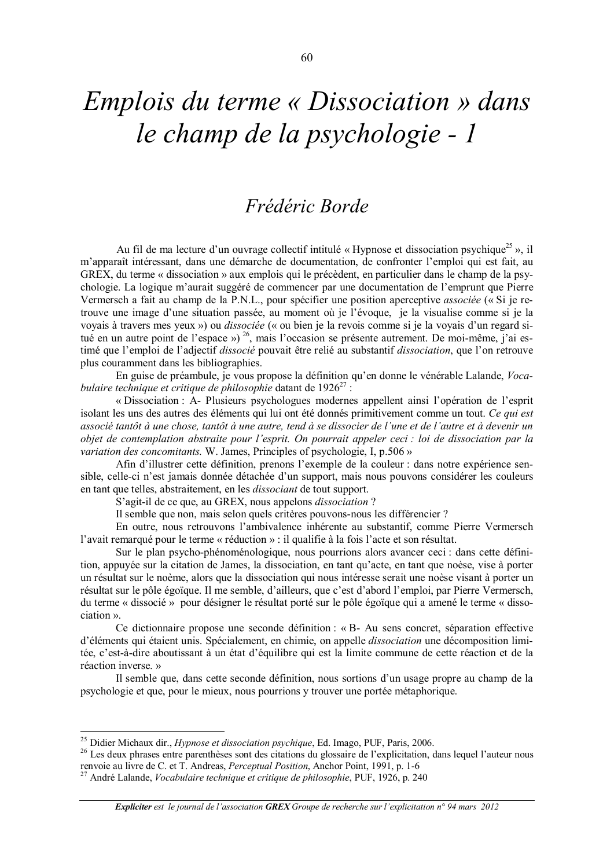## *Emplois du terme « Dissociation » dans* le champ de la psychologie - 1

## Frédéric Borde

Au fil de ma lecture d'un ouvrage collectif intitulé « Hypnose et dissociation psychique<sup>25</sup> », il m'apparaît intéressant, dans une démarche de documentation, de confronter l'emploi qui est fait, au GREX, du terme « dissociation » aux emplois qui le précèdent, en particulier dans le champ de la psychologie. La logique m'aurait suggéré de commencer par une documentation de l'emprunt que Pierre Vermersch a fait au champ de la P.N.L., pour spécifier une position aperceptive associée (« Si je retrouve une image d'une situation passée, au moment où je l'évoque, je la visualise comme si je la voyais à travers mes yeux ») ou *dissociée* (« ou bien je la revois comme si je la voyais d'un regard situé en un autre point de l'espace ») <sup>26</sup>, mais l'occasion se présente autrement. De moi-même, j'ai estimé que l'emploi de l'adjectif dissocié pouvait être relié au substantif dissociation, que l'on retrouve plus couramment dans les bibliographies.

En guise de préambule, je vous propose la définition qu'en donne le vénérable Lalande, Vocabulaire technique et critique de philosophie datant de  $1926^{27}$ :

« Dissociation : A- Plusieurs psychologues modernes appellent ainsi l'opération de l'esprit isolant les uns des autres des éléments qui lui ont été donnés primitivement comme un tout. Ce qui est associé tantôt à une chose, tantôt à une autre, tend à se dissocier de l'une et de l'autre et à devenir un objet de contemplation abstraite pour l'esprit. On pourrait appeler ceci : loi de dissociation par la *variation des concomitants.* W. James, Principles of psychologie, I, p.506 »

Afin d'illustrer cette définition, prenons l'exemple de la couleur : dans notre expérience sensible, celle-ci n'est jamais donnée détachée d'un support, mais nous pouvons considérer les couleurs en tant que telles, abstraitement, en les *dissociant* de tout support.

S'agit-il de ce que, au GREX, nous appelons *dissociation*?

Il semble que non, mais selon quels critères pouvons-nous les différencier?

En outre, nous retrouvons l'ambivalence inhérente au substantif, comme Pierre Vermersch l'avait remarqué pour le terme « réduction » : il qualifie à la fois l'acte et son résultat.

Sur le plan psycho-phénoménologique, nous pourrions alors avancer ceci ; dans cette définition, appuyée sur la citation de James, la dissociation, en tant qu'acte, en tant que noèse, vise à porter un résultat sur le noème, alors que la dissociation qui nous intéresse serait une noèse visant à porter un résultat sur le pôle égoïque. Il me semble, d'ailleurs, que c'est d'abord l'emploi, par Pierre Vermersch, du terme « dissocié » pour désigner le résultat porté sur le pôle égoïque qui a amené le terme « dissociation ».

Ce dictionnaire propose une seconde définition : «  $B-$  Au sens concret, séparation effective d'éléments qui étaient unis. Spécialement, en chimie, on appelle *dissociation* une décomposition limitée, c'est-à-dire aboutissant à un état d'équilibre qui est la limite commune de cette réaction et de la réaction inverse. »

Il semble que, dans cette seconde définition, nous sortions d'un usage propre au champ de la psychologie et que, pour le mieux, nous pourrions y trouver une portée métaphorique.

<sup>&</sup>lt;sup>25</sup> Didier Michaux dir., *Hypnose et dissociation psychique*, Ed. Imago, PUF, Paris, 2006.

<sup>&</sup>lt;sup>26</sup> Les deux phrases entre parenthèses sont des citations du glossaire de l'explicitation, dans lequel l'auteur nous renvoie au livre de C. et T. Andreas, *Perceptual Position*, Anchor Point, 1991, p. 1-6

<sup>&</sup>lt;sup>27</sup> André Lalande, *Vocabulaire technique et critique de philosophie*, PUF, 1926, p. 240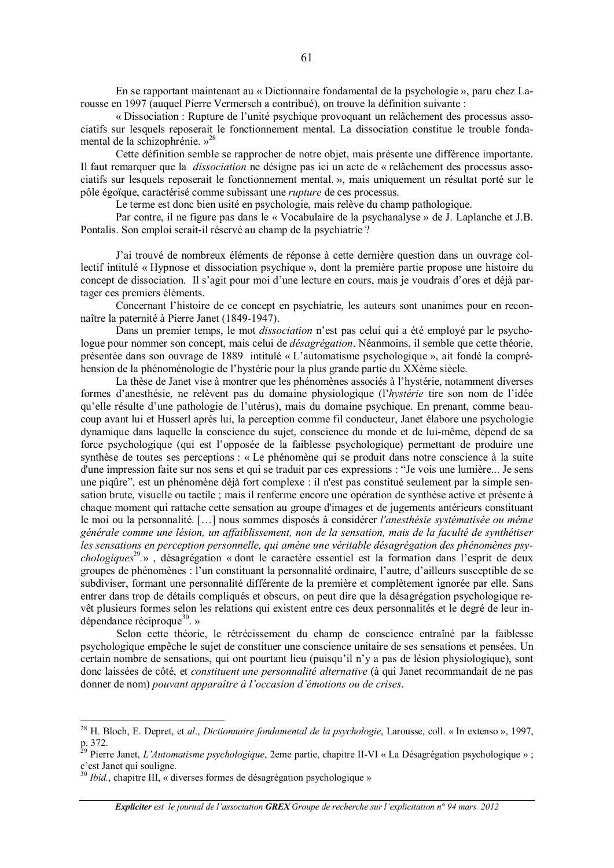En se rapportant maintenant au « Dictionnaire fondamental de la psychologie », paru chez Larousse en 1997 (auquel Pierre Vermersch a contribué), on trouve la définition suivante :

« Dissociation : Rupture de l'unité psychique provoquant un relâchement des processus associatifs sur lesquels reposerait le fonctionnement mental. La dissociation constitue le trouble fondamental de la schizophrénie.»<sup>28</sup>

Cette définition semble se rapprocher de notre objet, mais présente une différence importante. Il faut remarquer que la *dissociation* ne désigne pas ici un acte de « relâchement des processus associatifs sur lesquels reposerait le fonctionnement mental. », mais uniquement un résultat porté sur le pôle égoïque, caractérisé comme subissant une *rupture* de ces processus.

Le terme est donc bien usité en psychologie, mais relève du champ pathologique.

Par contre, il ne figure pas dans le « Vocabulaire de la psychanalyse » de J. Laplanche et J.B. Pontalis. Son emploi serait-il réservé au champ de la psychiatrie ?

J'ai trouvé de nombreux éléments de réponse à cette dernière question dans un ouvrage collectif intitulé « Hypnose et dissociation psychique », dont la première partie propose une histoire du concept de dissociation. Il s'agit pour moi d'une lecture en cours, mais je voudrais d'ores et déjà partager ces premiers éléments.

Concernant l'histoire de ce concept en psychiatrie, les auteurs sont unanimes pour en reconnaître la paternité à Pierre Janet (1849-1947).

Dans un premier temps, le mot *dissociation* n'est pas celui qui a été employé par le psychologue pour nommer son concept, mais celui de *désagrégation*. Néanmoins, il semble que cette théorie, présentée dans son ouvrage de 1889 intitulé « L'automatisme psychologique », ait fondé la compréhension de la phénoménologie de l'hystérie pour la plus grande partie du XXème siècle.

La thèse de Janet vise à montrer que les phénomènes associés à l'hystérie, notamment diverses formes d'anesthésie, ne relèvent pas du domaine physiologique (l'hystérie tire son nom de l'idée qu'elle résulte d'une pathologie de l'utérus), mais du domaine psychique. En prenant, comme beaucoup avant lui et Husserl après lui, la perception comme fil conducteur. Janet élabore une psychologie dynamique dans laquelle la conscience du sujet, conscience du monde et de lui-même, dépend de sa force psychologique (qui est l'opposée de la faiblesse psychologique) permettant de produire une synthèse de toutes ses perceptions : « Le phénomène qui se produit dans notre conscience à la suite d'une impression faite sur nos sens et qui se traduit par ces expressions : "Je vois une lumière... Je sens une pigûre", est un phénomène déjà fort complexe : il n'est pas constitué seulement par la simple sensation brute, visuelle ou tactile : mais il renferme encore une opération de synthèse active et présente à chaque moment qui rattache cette sensation au groupe d'images et de jugements antérieurs constituant le moi ou la personnalité. [...] nous sommes disposés à considérer l'anesthésie systématisée ou même générale comme une lésion, un affaiblissement, non de la sensation, mais de la faculté de synthétiser les sensations en perception personnelle, qui amène une véritable désagrégation des phénomènes psy*chologiques*<sup>29</sup>.», désagrégation « dont le caractère essentiel est la formation dans l'esprit de deux groupes de phénomènes : l'un constituant la personnalité ordinaire, l'autre, d'ailleurs susceptible de se subdiviser, formant une personnalité différente de la première et complètement ignorée par elle. Sans entrer dans trop de détails compliqués et obscurs, on peut dire que la désagrégation psychologique revêt plusieurs formes selon les relations qui existent entre ces deux personnalités et le degré de leur indépendance réciproque<sup>30</sup>. »

Selon cette théorie, le rétrécissement du champ de conscience entraîné par la faiblesse psychologique empêche le sujet de constituer une conscience unitaire de ses sensations et pensées. Un certain nombre de sensations, qui ont pourtant lieu (puisqu'il n'y a pas de lésion physiologique), sont donc laissées de côté, et *constituent une personnalité alternative* (à qui Janet recommandait de ne pas donner de nom) pouvant apparaître à l'occasion d'émotions ou de crises.

<sup>&</sup>lt;sup>28</sup> H. Bloch, E. Depret, et al., Dictionnaire fondamental de la psychologie, Larousse, coll. « In extenso », 1997,  $p.372.$ 

Pierre Janet, L'Automatisme psychologique, 2eme partie, chapitre II-VI « La Désagrégation psychologique »; c'est Janet qui souligne.

<sup>&</sup>lt;sup>30</sup> Ibid., chapitre III, « diverses formes de désagrégation psychologique »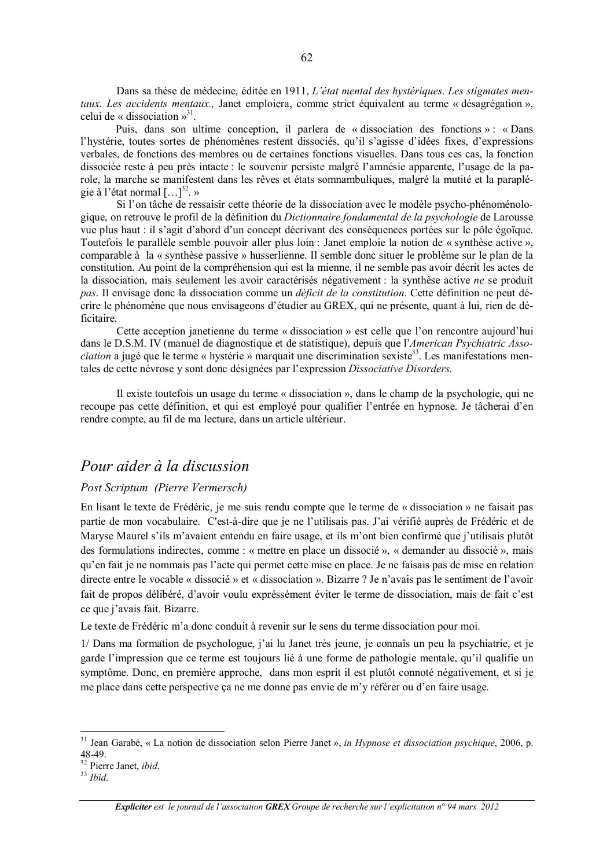Dans sa thèse de médecine, éditée en 1911, L'état mental des hystériques. Les stigmates mentaux. Les accidents mentaux., Janet emploiera, comme strict équivalent au terme « désagrégation », celui de « dissociation »<sup>31</sup>.

Puis, dans son ultime conception, il parlera de « dissociation des fonctions » : « Dans l'hystérie, toutes sortes de phénomènes restent dissociés, qu'il s'agisse d'idées fixes, d'expressions verbales, de fonctions des membres ou de certaines fonctions visuelles. Dans tous ces cas, la fonction dissociée reste à peu près intacte : le souvenir persiste malgré l'amnésie apparente, l'usage de la parole, la marche se manifestent dans les rêves et états somnambuliques, malgré la mutité et la paraplégie à l'état normal  $[\dots]^{32}$ . »

Si l'on tâche de ressaisir cette théorie de la dissociation avec le modèle psycho-phénoménologique, on retrouve le profil de la définition du Dictionnaire fondamental de la psychologie de Larousse vue plus haut : il s'agit d'abord d'un concept décrivant des conséquences portées sur le pôle égoïque. Toutefois le parallèle semble pouvoir aller plus loin : Janet emploie la notion de « synthèse active », comparable à la « synthèse passive » husserlienne. Il semble donc situer le problème sur le plan de la constitution. Au point de la compréhension qui est la mienne, il ne semble pas avoir décrit les actes de la dissociation, mais seulement les avoir caractérisés négativement : la synthèse active ne se produit pas. Il envisage donc la dissociation comme un *déficit de la constitution*. Cette définition ne peut décrire le phénomène que nous envisageons d'étudier au GREX, qui ne présente, quant à lui, rien de déficitaire

Cette acception janetienne du terme « dissociation » est celle que l'on rencontre aujourd'hui dans le D.S.M. IV (manuel de diagnostique et de statistique), depuis que l'American Psychiatric Asso*ciation* a jugé que le terme « hystérie » marquait une discrimination sexiste<sup>33</sup>. Les manifestations mentales de cette névrose y sont donc désignées par l'expression Dissociative Disorders.

Il existe toutefois un usage du terme « dissociation », dans le champ de la psychologie, qui ne recoupe pas cette définition, et qui est employé pour qualifier l'entrée en hypnose. Je tâcherai d'en rendre compte, au fil de ma lecture, dans un article ultérieur.

## Pour aider à la discussion

## Post Scriptum (Pierre Vermersch)

En lisant le texte de Frédéric, je me suis rendu compte que le terme de « dissociation » ne faisait pas partie de mon vocabulaire. C'est-à-dire que je ne l'utilisais pas. J'ai vérifié auprès de Frédéric et de Maryse Maurel s'ils m'avaient entendu en faire usage, et ils m'ont bien confirmé que j'utilisais plutôt des formulations indirectes, comme : « mettre en place un dissocié », « demander au dissocié », mais qu'en fait je ne nommais pas l'acte qui permet cette mise en place. Je ne faisais pas de mise en relation directe entre le vocable « dissocié » et « dissociation ». Bizarre ? Je n'avais pas le sentiment de l'avoir fait de propos délibéré, d'avoir voulu expréssément éviter le terme de dissociation, mais de fait c'est ce que j'avais fait. Bizarre.

Le texte de Frédéric m'a donc conduit à revenir sur le sens du terme dissociation pour moi.

1/ Dans ma formation de psychologue, j'ai lu Janet très jeune, je connaîs un peu la psychiatrie, et je garde l'impression que ce terme est toujours lié à une forme de pathologie mentale, qu'il qualifie un symptôme. Donc, en première approche, dans mon esprit il est plutôt connoté négativement, et si je me place dans cette perspective ça ne me donne pas envie de m'y référer ou d'en faire usage.

<sup>&</sup>lt;sup>31</sup> Jean Garabé, « La notion de dissociation selon Pierre Janet », in Hypnose et dissociation psychique, 2006, p. 48-49.

<sup>&</sup>lt;sup>32</sup> Pierre Janet, ibid.

 $33$  *Ihid.* 

**Expliciter** est le journal de l'association GREX Groupe de recherche sur l'explicitation n° 94 mars 2012